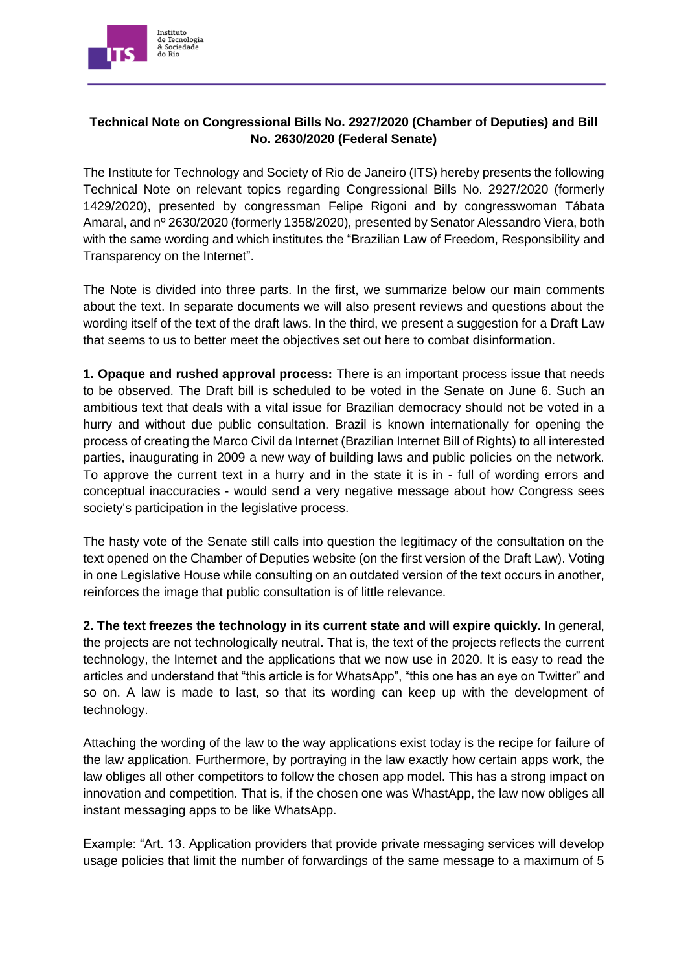

## **Technical Note on Congressional Bills No. 2927/2020 (Chamber of Deputies) and Bill No. 2630/2020 (Federal Senate)**

The Institute for Technology and Society of Rio de Janeiro (ITS) hereby presents the following Technical Note on relevant topics regarding Congressional Bills No. 2927/2020 (formerly 1429/2020), presented by congressman Felipe Rigoni and by congresswoman Tábata Amaral, and nº 2630/2020 (formerly 1358/2020), presented by Senator Alessandro Viera, both with the same wording and which institutes the "Brazilian Law of Freedom, Responsibility and Transparency on the Internet".

The Note is divided into three parts. In the first, we summarize below our main comments about the text. In separate documents we will also present reviews and questions about the wording itself of the text of the draft laws. In the third, we present a suggestion for a Draft Law that seems to us to better meet the objectives set out here to combat disinformation.

**1. Opaque and rushed approval process:** There is an important process issue that needs to be observed. The Draft bill is scheduled to be voted in the Senate on June 6. Such an ambitious text that deals with a vital issue for Brazilian democracy should not be voted in a hurry and without due public consultation. Brazil is known internationally for opening the process of creating the Marco Civil da Internet (Brazilian Internet Bill of Rights) to all interested parties, inaugurating in 2009 a new way of building laws and public policies on the network. To approve the current text in a hurry and in the state it is in - full of wording errors and conceptual inaccuracies - would send a very negative message about how Congress sees society's participation in the legislative process.

The hasty vote of the Senate still calls into question the legitimacy of the consultation on the text opened on the Chamber of Deputies website (on the first version of the Draft Law). Voting in one Legislative House while consulting on an outdated version of the text occurs in another, reinforces the image that public consultation is of little relevance.

**2. The text freezes the technology in its current state and will expire quickly.** In general, the projects are not technologically neutral. That is, the text of the projects reflects the current technology, the Internet and the applications that we now use in 2020. It is easy to read the articles and understand that "this article is for WhatsApp", "this one has an eye on Twitter" and so on. A law is made to last, so that its wording can keep up with the development of technology.

Attaching the wording of the law to the way applications exist today is the recipe for failure of the law application. Furthermore, by portraying in the law exactly how certain apps work, the law obliges all other competitors to follow the chosen app model. This has a strong impact on innovation and competition. That is, if the chosen one was WhastApp, the law now obliges all instant messaging apps to be like WhatsApp.

Example: "Art. 13. Application providers that provide private messaging services will develop usage policies that limit the number of forwardings of the same message to a maximum of 5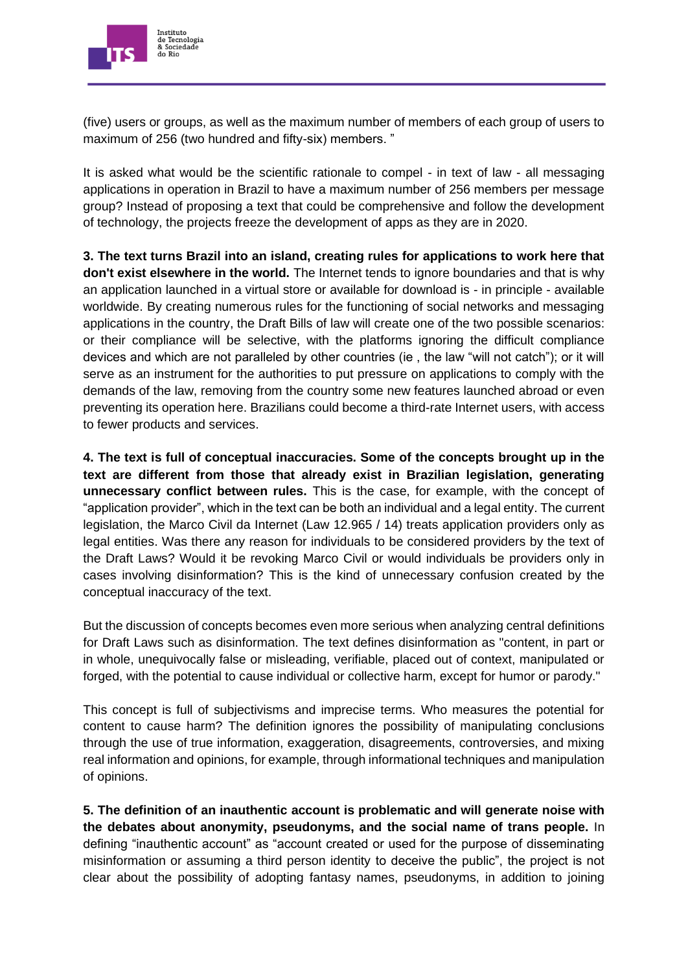

(five) users or groups, as well as the maximum number of members of each group of users to maximum of 256 (two hundred and fifty-six) members. "

It is asked what would be the scientific rationale to compel - in text of law - all messaging applications in operation in Brazil to have a maximum number of 256 members per message group? Instead of proposing a text that could be comprehensive and follow the development of technology, the projects freeze the development of apps as they are in 2020.

**3. The text turns Brazil into an island, creating rules for applications to work here that don't exist elsewhere in the world.** The Internet tends to ignore boundaries and that is why an application launched in a virtual store or available for download is - in principle - available worldwide. By creating numerous rules for the functioning of social networks and messaging applications in the country, the Draft Bills of law will create one of the two possible scenarios: or their compliance will be selective, with the platforms ignoring the difficult compliance devices and which are not paralleled by other countries (ie , the law "will not catch"); or it will serve as an instrument for the authorities to put pressure on applications to comply with the demands of the law, removing from the country some new features launched abroad or even preventing its operation here. Brazilians could become a third-rate Internet users, with access to fewer products and services.

**4. The text is full of conceptual inaccuracies. Some of the concepts brought up in the text are different from those that already exist in Brazilian legislation, generating unnecessary conflict between rules.** This is the case, for example, with the concept of "application provider", which in the text can be both an individual and a legal entity. The current legislation, the Marco Civil da Internet (Law 12.965 / 14) treats application providers only as legal entities. Was there any reason for individuals to be considered providers by the text of the Draft Laws? Would it be revoking Marco Civil or would individuals be providers only in cases involving disinformation? This is the kind of unnecessary confusion created by the conceptual inaccuracy of the text.

But the discussion of concepts becomes even more serious when analyzing central definitions for Draft Laws such as disinformation. The text defines disinformation as "content, in part or in whole, unequivocally false or misleading, verifiable, placed out of context, manipulated or forged, with the potential to cause individual or collective harm, except for humor or parody."

This concept is full of subjectivisms and imprecise terms. Who measures the potential for content to cause harm? The definition ignores the possibility of manipulating conclusions through the use of true information, exaggeration, disagreements, controversies, and mixing real information and opinions, for example, through informational techniques and manipulation of opinions.

**5. The definition of an inauthentic account is problematic and will generate noise with the debates about anonymity, pseudonyms, and the social name of trans people.** In defining "inauthentic account" as "account created or used for the purpose of disseminating misinformation or assuming a third person identity to deceive the public", the project is not clear about the possibility of adopting fantasy names, pseudonyms, in addition to joining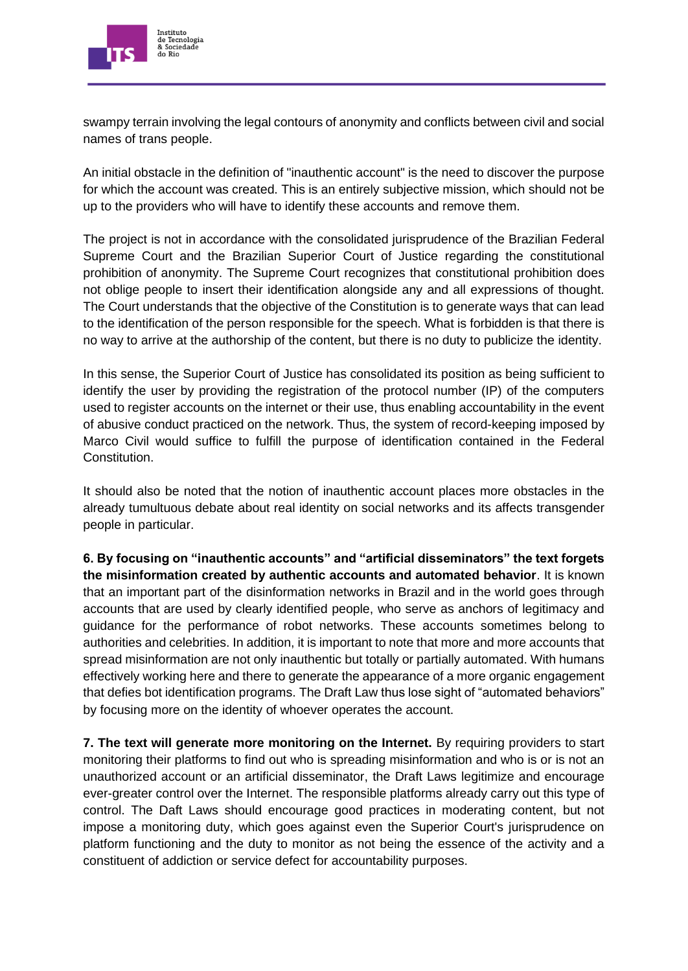

swampy terrain involving the legal contours of anonymity and conflicts between civil and social names of trans people.

An initial obstacle in the definition of "inauthentic account" is the need to discover the purpose for which the account was created. This is an entirely subjective mission, which should not be up to the providers who will have to identify these accounts and remove them.

The project is not in accordance with the consolidated jurisprudence of the Brazilian Federal Supreme Court and the Brazilian Superior Court of Justice regarding the constitutional prohibition of anonymity. The Supreme Court recognizes that constitutional prohibition does not oblige people to insert their identification alongside any and all expressions of thought. The Court understands that the objective of the Constitution is to generate ways that can lead to the identification of the person responsible for the speech. What is forbidden is that there is no way to arrive at the authorship of the content, but there is no duty to publicize the identity.

In this sense, the Superior Court of Justice has consolidated its position as being sufficient to identify the user by providing the registration of the protocol number (IP) of the computers used to register accounts on the internet or their use, thus enabling accountability in the event of abusive conduct practiced on the network. Thus, the system of record-keeping imposed by Marco Civil would suffice to fulfill the purpose of identification contained in the Federal Constitution.

It should also be noted that the notion of inauthentic account places more obstacles in the already tumultuous debate about real identity on social networks and its affects transgender people in particular.

**6. By focusing on "inauthentic accounts" and "artificial disseminators" the text forgets the misinformation created by authentic accounts and automated behavior**. It is known that an important part of the disinformation networks in Brazil and in the world goes through accounts that are used by clearly identified people, who serve as anchors of legitimacy and guidance for the performance of robot networks. These accounts sometimes belong to authorities and celebrities. In addition, it is important to note that more and more accounts that spread misinformation are not only inauthentic but totally or partially automated. With humans effectively working here and there to generate the appearance of a more organic engagement that defies bot identification programs. The Draft Law thus lose sight of "automated behaviors" by focusing more on the identity of whoever operates the account.

**7. The text will generate more monitoring on the Internet.** By requiring providers to start monitoring their platforms to find out who is spreading misinformation and who is or is not an unauthorized account or an artificial disseminator, the Draft Laws legitimize and encourage ever-greater control over the Internet. The responsible platforms already carry out this type of control. The Daft Laws should encourage good practices in moderating content, but not impose a monitoring duty, which goes against even the Superior Court's jurisprudence on platform functioning and the duty to monitor as not being the essence of the activity and a constituent of addiction or service defect for accountability purposes.